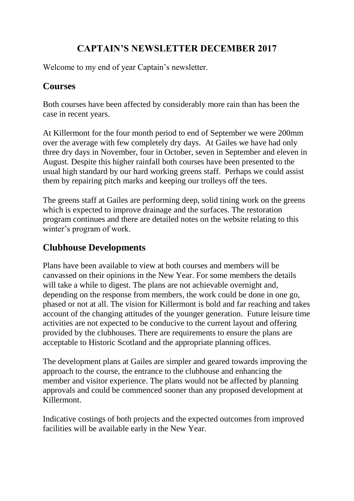### **CAPTAIN'S NEWSLETTER DECEMBER 2017**

Welcome to my end of year Captain's newsletter.

#### **Courses**

Both courses have been affected by considerably more rain than has been the case in recent years.

At Killermont for the four month period to end of September we were 200mm over the average with few completely dry days. At Gailes we have had only three dry days in November, four in October, seven in September and eleven in August. Despite this higher rainfall both courses have been presented to the usual high standard by our hard working greens staff. Perhaps we could assist them by repairing pitch marks and keeping our trolleys off the tees.

The greens staff at Gailes are performing deep, solid tining work on the greens which is expected to improve drainage and the surfaces. The restoration program continues and there are detailed notes on the website relating to this winter's program of work.

### **Clubhouse Developments**

Plans have been available to view at both courses and members will be canvassed on their opinions in the New Year. For some members the details will take a while to digest. The plans are not achievable overnight and, depending on the response from members, the work could be done in one go, phased or not at all. The vision for Killermont is bold and far reaching and takes account of the changing attitudes of the younger generation. Future leisure time activities are not expected to be conducive to the current layout and offering provided by the clubhouses. There are requirements to ensure the plans are acceptable to Historic Scotland and the appropriate planning offices.

The development plans at Gailes are simpler and geared towards improving the approach to the course, the entrance to the clubhouse and enhancing the member and visitor experience. The plans would not be affected by planning approvals and could be commenced sooner than any proposed development at Killermont.

Indicative costings of both projects and the expected outcomes from improved facilities will be available early in the New Year.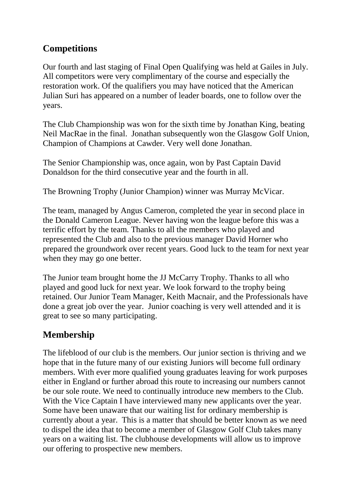### **Competitions**

Our fourth and last staging of Final Open Qualifying was held at Gailes in July. All competitors were very complimentary of the course and especially the restoration work. Of the qualifiers you may have noticed that the American Julian Suri has appeared on a number of leader boards, one to follow over the years.

The Club Championship was won for the sixth time by Jonathan King, beating Neil MacRae in the final. Jonathan subsequently won the Glasgow Golf Union, Champion of Champions at Cawder. Very well done Jonathan.

The Senior Championship was, once again, won by Past Captain David Donaldson for the third consecutive year and the fourth in all.

The Browning Trophy (Junior Champion) winner was Murray McVicar.

The team, managed by Angus Cameron, completed the year in second place in the Donald Cameron League. Never having won the league before this was a terrific effort by the team. Thanks to all the members who played and represented the Club and also to the previous manager David Horner who prepared the groundwork over recent years. Good luck to the team for next year when they may go one better.

The Junior team brought home the JJ McCarry Trophy. Thanks to all who played and good luck for next year. We look forward to the trophy being retained. Our Junior Team Manager, Keith Macnair, and the Professionals have done a great job over the year. Junior coaching is very well attended and it is great to see so many participating.

## **Membership**

The lifeblood of our club is the members. Our junior section is thriving and we hope that in the future many of our existing Juniors will become full ordinary members. With ever more qualified young graduates leaving for work purposes either in England or further abroad this route to increasing our numbers cannot be our sole route. We need to continually introduce new members to the Club. With the Vice Captain I have interviewed many new applicants over the year. Some have been unaware that our waiting list for ordinary membership is currently about a year. This is a matter that should be better known as we need to dispel the idea that to become a member of Glasgow Golf Club takes many years on a waiting list. The clubhouse developments will allow us to improve our offering to prospective new members.